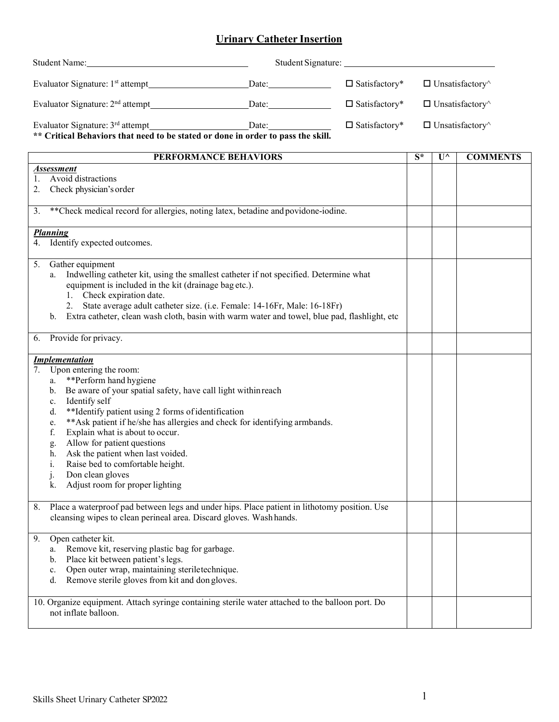## **Urinary Catheter Insertion**

| <b>Student Name:</b>                                                                                                                                                                                                                                                                                                                                                                   | <u> 1989 - Johann Harry Harry Harry Harry Harry Harry Harry Harry Harry Harry Harry Harry Harry Harry Harry Harry</u>                                                                                                                                             | Student Signature:      |                               |                       |                               |
|----------------------------------------------------------------------------------------------------------------------------------------------------------------------------------------------------------------------------------------------------------------------------------------------------------------------------------------------------------------------------------------|-------------------------------------------------------------------------------------------------------------------------------------------------------------------------------------------------------------------------------------------------------------------|-------------------------|-------------------------------|-----------------------|-------------------------------|
|                                                                                                                                                                                                                                                                                                                                                                                        |                                                                                                                                                                                                                                                                   | $\square$ Satisfactory* |                               |                       | $\Box$ Unsatisfactory $\land$ |
|                                                                                                                                                                                                                                                                                                                                                                                        |                                                                                                                                                                                                                                                                   | $\square$ Satisfactory* | $\Box$ Unsatisfactory^        |                       |                               |
| $\square$ Satisfactory*                                                                                                                                                                                                                                                                                                                                                                |                                                                                                                                                                                                                                                                   |                         | $\Box$ Unsatisfactory $\land$ |                       |                               |
|                                                                                                                                                                                                                                                                                                                                                                                        | <b>PERFORMANCE BEHAVIORS</b>                                                                                                                                                                                                                                      |                         | $\overline{S^*}$              | $\mathbf{U}^{\wedge}$ | <b>COMMENTS</b>               |
| <b>Assessment</b><br>Avoid distractions<br>1.                                                                                                                                                                                                                                                                                                                                          |                                                                                                                                                                                                                                                                   |                         |                               |                       |                               |
| 2. Check physician's order                                                                                                                                                                                                                                                                                                                                                             |                                                                                                                                                                                                                                                                   |                         |                               |                       |                               |
| 3.                                                                                                                                                                                                                                                                                                                                                                                     | **Check medical record for allergies, noting latex, betadine and povidone-iodine.                                                                                                                                                                                 |                         |                               |                       |                               |
| <b>Planning</b>                                                                                                                                                                                                                                                                                                                                                                        |                                                                                                                                                                                                                                                                   |                         |                               |                       |                               |
| 4. Identify expected outcomes.                                                                                                                                                                                                                                                                                                                                                         |                                                                                                                                                                                                                                                                   |                         |                               |                       |                               |
| Gather equipment<br>5.<br>a.<br>equipment is included in the kit (drainage bag etc.).<br>1. Check expiration date.<br>2.<br>b.                                                                                                                                                                                                                                                         | Indwelling catheter kit, using the smallest catheter if not specified. Determine what<br>State average adult catheter size. (i.e. Female: 14-16Fr, Male: 16-18Fr)<br>Extra catheter, clean wash cloth, basin with warm water and towel, blue pad, flashlight, etc |                         |                               |                       |                               |
| Provide for privacy.<br>6.                                                                                                                                                                                                                                                                                                                                                             |                                                                                                                                                                                                                                                                   |                         |                               |                       |                               |
| <b>Implementation</b>                                                                                                                                                                                                                                                                                                                                                                  |                                                                                                                                                                                                                                                                   |                         |                               |                       |                               |
| Upon entering the room:<br>7.<br>**Perform hand hygiene<br>a.<br>b.<br>Identify self<br>c.<br>**Identify patient using 2 forms of identification<br>d.<br>e.<br>Explain what is about to occur.<br>f.<br>Allow for patient questions<br>g.<br>Ask the patient when last voided.<br>h.<br>Raise bed to comfortable height.<br>Don clean gloves<br>Adjust room for proper lighting<br>k. | Be aware of your spatial safety, have call light within reach<br>** Ask patient if he/she has allergies and check for identifying armbands.                                                                                                                       |                         |                               |                       |                               |
| 8.                                                                                                                                                                                                                                                                                                                                                                                     | Place a waterproof pad between legs and under hips. Place patient in lithotomy position. Use<br>cleansing wipes to clean perineal area. Discard gloves. Wash hands.                                                                                               |                         |                               |                       |                               |
| Open catheter kit.<br>9.<br>Remove kit, reserving plastic bag for garbage.<br>a.<br>Place kit between patient's legs.<br>b.<br>Open outer wrap, maintaining steriletechnique.<br>c.<br>Remove sterile gloves from kit and don gloves.<br>d.                                                                                                                                            |                                                                                                                                                                                                                                                                   |                         |                               |                       |                               |
| not inflate balloon.                                                                                                                                                                                                                                                                                                                                                                   | 10. Organize equipment. Attach syringe containing sterile water attached to the balloon port. Do                                                                                                                                                                  |                         |                               |                       |                               |